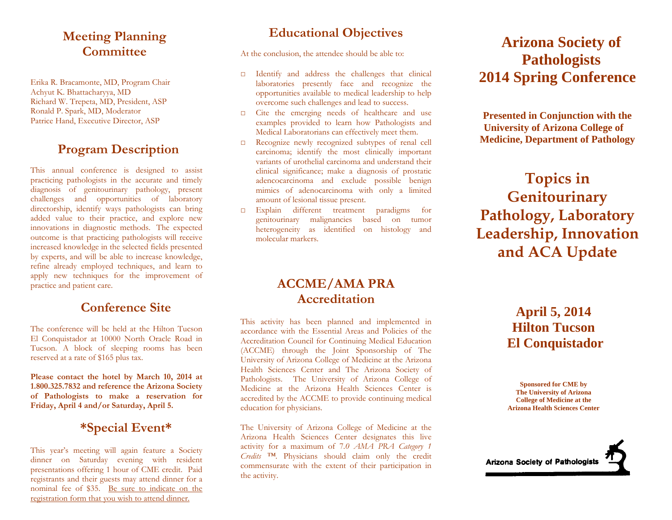## **Meeting Planning Committee**

Erika R. Bracamonte, MD, Program Chair Achyut K. Bhattacharyya, MD Richard W. Trepeta, MD, President, ASP Ronald P. Spark, MD, Moderator Patrice Hand, Executive Director, ASP

## **Program Description**

This annual conference is designed to assist practicing pathologists in the accurate and timely diagnosis of genitourinary pathology, present challenges and opportunities of laboratory directorship, identify ways pathologists can bring added value to their practice, and explore new innovations in diagnostic methods. The expected outcome is that practicing pathologists will receive increased knowledge in the selected fields presented by experts, and will be able to increase knowledge, refine already employed techniques, and learn to apply new techniques for the improvement of practice and patient care.

### **Conference Site**

The conference will be held at the Hilton Tucson El Conquistador at 10000 North Oracle Road in Tucson. A block of sleeping rooms has been reserved at a rate of \$165 plus tax.

**Please contact the hotel by March 10, 2014 at 1.800.325.7832 and reference the Arizona Society of Pathologists to make a reservation for Friday, April 4 and/or Saturday, April 5.** 

### **\*Special Event\***

This year's meeting will again feature a Society dinner on Saturday evening with resident presentations offering 1 hour of CME credit. Paid registrants and their guests may attend dinner for a nominal fee of \$35. Be sure to indicate on the registration form that you wish to attend dinner.

# **Educational Objectives**

At the conclusion, the attendee should be able to:

- □ Identify and address the challenges that clinical laboratories presently face and recognize the opportunities available to medical leadership to help overcome such challenges and lead to success.
- □ Cite the emerging needs of healthcare and use examples provided to learn how Pathologists and Medical Laboratorians can effectively meet them.
- □ Recognize newly recognized subtypes of renal cell carcinoma; identify the most clinically important variants of urothelial carcinoma and understand their clinical significance; make a diagnosis of prostatic adencocarcinoma and exclude possible benign mimics of adenocarcinoma with only a limited amount of lesional tissue present.
- □ Explain different treatment paradigms for genitourinary malignancies based on tumor heterogeneity as identified on histology and molecular markers.

# **Arizona Society of Pathologists 2014 Spring Conference**

**Presented in Conjunction with the University of Arizona College of Medicine, Department of Pathology** 

# **Topics in Genitourinary Pathology, Laboratory Leadership, Innovation and ACA Update**

### **ACCME/AMA PRA Accreditation**

This activity has been planned and implemented in accordance with the Essential Areas and Policies of the Accreditation Council for Continuing Medical Education (ACCME) through the Joint Sponsorship of The University of Arizona College of Medicine at the Arizona Health Sciences Center and The Arizona Society of Pathologists. The University of Arizona College of Medicine at the Arizona Health Sciences Center is accredited by the ACCME to provide continuing medical education for physicians.

The University of Arizona College of Medicine at the Arizona Health Sciences Center designates this live activity for a maximum of 7*.0 AMA PRA Category 1 Credits ™*. Physicians should claim only the credit commensurate with the extent of their participation in the activity.

**April 5, 2014 Hilton Tucson El Conquistador** 

**Sponsored for CME by The University of Arizona College of Medicine at the Arizona Health Sciences Center**